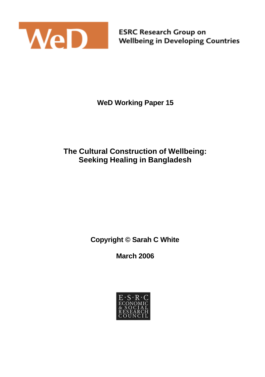

**ESRC Research Group on Wellbeing in Developing Countries** 

**WeD Working Paper 15**

# **The Cultural Construction of Wellbeing: Seeking Healing in Bangladesh**

**Copyright © Sarah C White**

**March 2006**

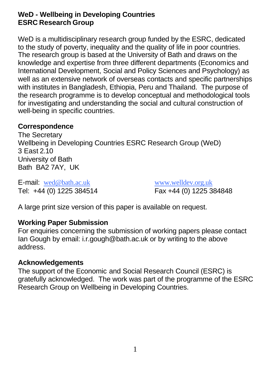### **WeD - Wellbeing in Developing Countries ESRC Research Group**

WeD is a multidisciplinary research group funded by the ESRC, dedicated to the study of poverty, inequality and the quality of life in poor countries. The research group is based at the University of Bath and draws on the knowledge and expertise from three different departments (Economics and International Development, Social and Policy Sciences and Psychology) as well as an extensive network of overseas contacts and specific partnerships with institutes in Bangladesh, Ethiopia, Peru and Thailand. The purpose of the research programme is to develop conceptual and methodological tools for investigating and understanding the social and cultural construction of well-being in specific countries.

#### **Correspondence**

The Secretary Wellbeing in Developing Countries ESRC Research Group (WeD) 3 East 2.10 University of Bath Bath BA2 7AY, UK

E-mail: wed@bath.ac.uk www.welldev.org.uk Tel: +44 (0) 1225 384514 Fax +44 (0) 1225 384848

A large print size version of this paper is available on request.

### **Working Paper Submission**

For enquiries concerning the submission of working papers please contact Ian Gough by email: i.r.gough@bath.ac.uk or by writing to the above address.

#### **Acknowledgements**

The support of the Economic and Social Research Council (ESRC) is gratefully acknowledged. The work was part of the programme of the ESRC Research Group on Wellbeing in Developing Countries.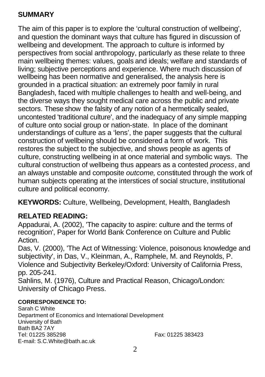### **SUMMARY**

The aim of this paper is to explore the 'cultural construction of wellbeing', and question the dominant ways that culture has figured in discussion of wellbeing and development. The approach to culture is informed by perspectives from social anthropology, particularly as these relate to three main wellbeing themes: values, goals and ideals; welfare and standards of living; subjective perceptions and experience. Where much discussion of wellbeing has been normative and generalised, the analysis here is grounded in a practical situation: an extremely poor family in rural Bangladesh, faced with multiple challenges to health and well-being, and the diverse ways they sought medical care across the public and private sectors. These show the falsity of any notion of a hermetically sealed. uncontested 'traditional culture', and the inadequacy of any simple mapping of culture onto social group or nation-state. In place of the dominant understandings of culture as a 'lens', the paper suggests that the cultural construction of wellbeing should be considered a form of work. This restores the subject to the subjective, and shows people as agents of culture, constructing wellbeing in at once material and symbolic ways. The cultural construction of wellbeing thus appears as a contested *process*, and an always unstable and composite *outcome*, constituted through the work of human subjects operating at the interstices of social structure, institutional culture and political economy.

**KEYWORDS:** Culture, Wellbeing, Development, Health, Bangladesh

# **RELATED READING:**

Appadurai, A. (2002), 'The capacity to aspire: culture and the terms of recognition', Paper for World Bank Conference on Culture and Public Action.

Das, V. (2000), 'The Act of Witnessing: Violence, poisonous knowledge and subjectivity', in Das, V., Kleinman, A., Ramphele, M. and Reynolds, P. Violence and Subjectivity Berkeley/Oxford: University of California Press, pp. 205-241.

Sahlins, M. (1976), Culture and Practical Reason, Chicago/London: University of Chicago Press.

#### **CORRESPONDENCE TO:**

Sarah C White Department of Economics and International Development University of Bath Bath BA2 7AY Tel: 01225 385298 Fax: 01225 383423 E-mail: S.C.White@bath.ac.uk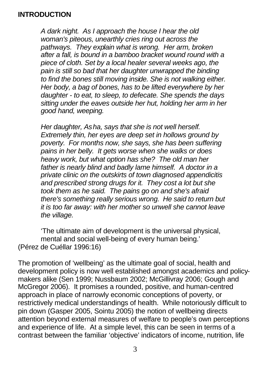#### **INTRODUCTION**

*A dark night. As I approach the house I hear the old woman's piteous, unearthly cries ring out across the pathways. They explain what is wrong. Her arm, broken after a fall, is bound in a bamboo bracket wound round with a piece of cloth. Set by a local healer several weeks ago, the pain is still so bad that her daughter unwrapped the binding to find the bones still moving inside. She is not walking either. Her body, a bag of bones, has to be lifted everywhere by her daughter - to eat, to sleep, to defecate. She spends the days sitting under the eaves outside her hut, holding her arm in her good hand, weeping.*

*Her daughter, Asha, says that she is not well herself. Extremely thin, her eyes are deep set in hollows ground by poverty. For months now, she says, she has been suffering pains in her belly. It gets worse when she walks or does heavy work, but what option has she? The old man her father is nearly blind and badly lame himself. A doctor in a private clinic on the outskirts of town diagnosed appendicitis and prescribed strong drugs for it. They cost a lot but she took them as he said. The pains go on and she's afraid there's something really serious wrong. He said to return but it is too far away: with her mother so unwell she cannot leave the village.*

'The ultimate aim of development is the universal physical, mental and social well-being of every human being.' (Pérez de Cuéllar 1996:16)

The promotion of 'wellbeing' as the ultimate goal of social, health and development policy is now well established amongst academics and policymakers alike (Sen 1999; Nussbaum 2002; McGillivray 2006; Gough and McGregor 2006). It promises a rounded, positive, and human-centred approach in place of narrowly economic conceptions of poverty, or restrictively medical understandings of health. While notoriously difficult to pin down (Gasper 2005, Sointu 2005) the notion of wellbeing directs attention beyond external measures of welfare to people's own perceptions and experience of life. At a simple level, this can be seen in terms of a contrast between the familiar 'objective' indicators of income, nutrition, life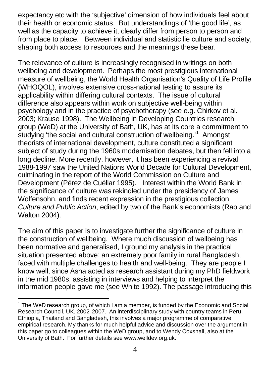expectancy etc with the 'subjective' dimension of how individuals feel about their health or economic status. But understandings of 'the good life', as well as the capacity to achieve it, clearly differ from person to person and from place to place. Between individual and statistic lie culture and society, shaping both access to resources and the meanings these bear.

The relevance of culture is increasingly recognised in writings on both wellbeing and development. Perhaps the most prestigious international measure of wellbeing, the World Health Organisation's Quality of Life Profile (WHOQOL), involves extensive cross-national testing to assure its applicability within differing cultural contexts. The issue of cultural difference also appears within work on subjective well-being within psychology and in the practice of psychotherapy (see e.g. Chirkov et al. 2003; Krause 1998). The Wellbeing in Developing Countries research group (WeD) at the University of Bath, UK, has at its core a commitment to studying 'the social and cultural construction of wellbeing.'<sup>1</sup> Amongst theorists of international development, culture constituted a significant subject of study during the 1960s modernisation debates, but then fell into a long decline. More recently, however, it has been experiencing a revival. 1988-1997 saw the United Nations World Decade for Cultural Development, culminating in the report of the World Commission on Culture and Development (Pérez de Cuéllar 1995). Interest within the World Bank in the significance of culture was rekindled under the presidency of James Wolfensohn, and finds recent expression in the prestigious collection *Culture and Public Action*, edited by two of the Bank's economists (Rao and Walton 2004).

The aim of this paper is to investigate further the significance of culture in the construction of wellbeing. Where much discussion of wellbeing has been normative and generalised, I ground my analysis in the practical situation presented above: an extremely poor family in rural Bangladesh, faced with multiple challenges to health and well-being. They are people I know well, since Asha acted as research assistant during my PhD fieldwork in the mid 1980s, assisting in interviews and helping to interpret the information people gave me (see White 1992). The passage introducing this

l

 $1$  The WeD research group, of which I am a member, is funded by the Economic and Social Research Council, UK, 2002-2007. An interdisciplinary study with country teams in Peru, Ethiopia, Thailand and Bangladesh, this involves a major programme of comparative empirical research. My thanks for much helpful advice and discussion over the argument in this paper go to colleagues within the WeD group, and to Wendy Coxshall, also at the University of Bath. For further details see www.welldev.org.uk.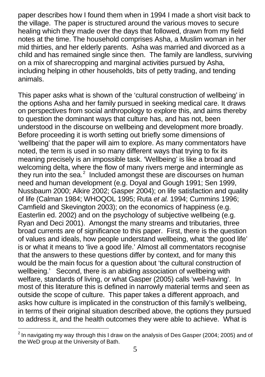paper describes how I found them when in 1994 I made a short visit back to the village. The paper is structured around the various moves to secure healing which they made over the days that followed, drawn from my field notes at the time. The household comprises Asha, a Muslim woman in her mid thirties, and her elderly parents. Asha was married and divorced as a child and has remained single since then. The family are landless, surviving on a mix of sharecropping and marginal activities pursued by Asha, including helping in other households, bits of petty trading, and tending animals.

This paper asks what is shown of the 'cultural construction of wellbeing' in the options Asha and her family pursued in seeking medical care. It draws on perspectives from social anthropology to explore this, and aims thereby to question the dominant ways that culture has, and has not, been understood in the discourse on wellbeing and development more broadly. Before proceeding it is worth setting out briefly some dimensions of 'wellbeing' that the paper will aim to explore. As many commentators have noted, the term is used in so many different ways that trying to fix its meaning precisely is an impossible task. 'Wellbeing' is like a broad and welcoming delta, where the flow of many rivers merge and intermingle as they run into the sea. $2$  Included amongst these are discourses on human need and human development (e.g. Doyal and Gough 1991; Sen 1999, Nussbaum 2000; Alkire 2002; Gasper 2004); on life satisfaction and quality of life (Calman 1984; WHOQOL 1995; Ruta *et al.* 1994; Cummins 1996; Camfield and Skevington 2003); on the economics of happiness (e.g. Easterlin ed. 2002) and on the psychology of subjective wellbeing (e.g. Ryan and Deci 2001). Amongst the many streams and tributaries, three broad currents are of significance to this paper. First, there is the question of values and ideals, how people understand wellbeing, what 'the good life' is or what it means to 'live a good life.' Almost all commentators recognise that the answers to these questions differ by context, and for many this would be the main focus for a question about 'the cultural construction of wellbeing.' Second, there is an abiding association of wellbeing with welfare, standards of living, or what Gasper (2005) calls 'well-having'. In most of this literature this is defined in narrowly material terms and seen as outside the scope of culture. This paper takes a different approach, and asks how culture is implicated in the construction of this family's wellbeing, in terms of their original situation described above, the options they pursued to address it, and the health outcomes they were able to achieve. What is

 2 In navigating my way through this I draw on the analysis of Des Gasper (2004; 2005) and of the WeD group at the University of Bath.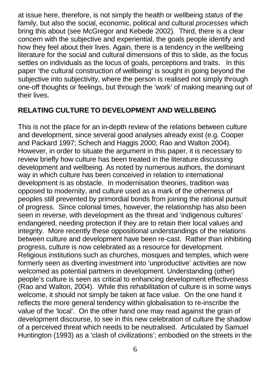at issue here, therefore, is not simply the health or wellbeing *status* of the family, but also the social, economic, political and cultural *processes* which bring this about (see McGregor and Kebede 2002). Third, there is a clear concern with the subjective and experiential, the goals people identify and how they feel about their lives. Again, there is a tendency in the wellbeing literature for the social and cultural dimensions of this to slide, as the focus settles on individuals as the locus of goals, perceptions and traits. In this paper 'the cultural construction of wellbeing' is sought in going beyond the subjective into subjectivity, where the person is realised not simply through one-off thoughts or feelings, but through the 'work' of making meaning out of their lives.

### **RELATING CULTURE TO DEVELOPMENT AND WELLBEING**

This is not the place for an in-depth review of the relations between culture and development, since several good analyses already exist (e.g. Cooper and Packard 1997; Schech and Haggis 2000; Rao and Walton 2004). However, in order to situate the argument in this paper, it is necessary to review briefly how culture has been treated in the literature discussing development and wellbeing. As noted by numerous authors, the dominant way in which culture has been conceived in relation to international development is as obstacle. In modernisation theories, tradition was opposed to modernity, and culture used as a mark of the otherness of peoples still prevented by primordial bonds from joining the rational pursuit of progress. Since colonial times, however, the relationship has also been seen in reverse, with development as the threat and 'indigenous cultures' endangered, needing protection if they are to retain their local values and integrity. More recently these oppositional understandings of the relations between culture and development have been re-cast. Rather than inhibiting progress, culture is now celebrated as a resource for development. Religious institutions such as churches, mosques and temples, which were formerly seen as diverting investment into 'unproductive' activities are now welcomed as potential partners in development. Understanding (other) people's culture is seen as critical to enhancing development effectiveness (Rao and Walton, 2004). While this rehabilitation of culture is in some ways welcome, it should not simply be taken at face value. On the one hand it reflects the more general tendency within globalisation to re-inscribe the value of the 'local'. On the other hand one may read against the grain of development discourse, to see in this new celebration of culture the shadow of a perceived threat which needs to be neutralised. Articulated by Samuel Huntington (1993) as a 'clash of civilizations'; embodied on the streets in the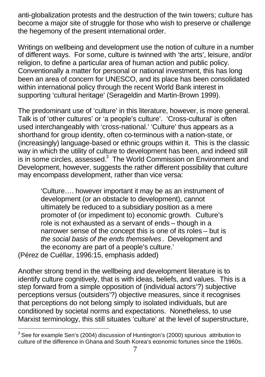anti-globalization protests and the destruction of the twin towers; culture has become a major site of struggle for those who wish to preserve or challenge the hegemony of the present international order.

Writings on wellbeing and development use the notion of culture in a number of different ways. For some, culture is twinned with 'the arts', leisure, and/or religion, to define a particular area of human action and public policy. Conventionally a matter for personal or national investment, this has long been an area of concern for UNESCO, and its place has been consolidated within international policy through the recent World Bank interest in supporting 'cultural heritage' (Serageldin and Martin-Brown 1999).

The predominant use of 'culture' in this literature, however, is more general. Talk is of 'other cultures' or 'a people's culture'. 'Cross-cultural' is often used interchangeably with 'cross-national.' 'Culture' thus appears as a shorthand for group identity, often co-terminous with a nation-state, or (increasingly) language-based or ethnic groups within it. This is the classic way in which the utility of culture to development has been, and indeed still is in some circles, assessed. $3$  The World Commission on Environment and Development, however, suggests the rather different possibility that culture may encompass development, rather than vice versa:

'Culture…. however important it may be as an instrument of development (or an obstacle to development), cannot ultimately be reduced to a subsidiary position as a mere promoter of (or impediment to) economic growth. Culture's role is not exhausted as a servant of ends – though in a narrower sense of the concept this is one of its roles – but is *the social basis of the ends themselves*. Development and the economy are part of a people's culture.'

(Pérez de Cuéllar, 1996:15, emphasis added)

l

Another strong trend in the wellbeing and development literature is to identify culture cognitively, that is with ideas, beliefs, and values. This is a step forward from a simple opposition of (individual actors'?) subjective perceptions versus (outsiders'?) objective measures, since it recognises that perceptions do not belong simply to isolated individuals, but are conditioned by societal norms and expectations. Nonetheless, to use Marxist terminology, this still situates 'culture' at the level of superstructure,

 $3$  See for example Sen's (2004) discussion of Huntington's (2000) spurious attribution to culture of the difference in Ghana and South Korea's economic fortunes since the 1960s.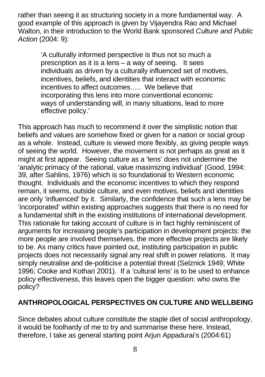rather than seeing it as structuring society in a more fundamental way. A good example of this approach is given by Vijayendra Rao and Michael Walton, in their introduction to the World Bank sponsored *Culture and Public Action* (2004: 9):

'A culturally informed perspective is thus not so much a prescription as it is a lens – a way of seeing. It sees individuals as driven by a culturally influenced set of motives, incentives, beliefs, and identities that interact with economic incentives to affect outcomes.…. We believe that incorporating this lens into more conventional economic ways of understanding will, in many situations, lead to more effective policy.'

This approach has much to recommend it over the simplistic notion that beliefs and values are somehow fixed or given for a nation or social group as a whole. Instead, culture is viewed more flexibly, as giving people ways of seeing the world. However, the movement is not perhaps as great as it might at first appear. Seeing culture as a 'lens' does not undermine the 'analytic primacy of the rational, value maximizing individual' (Good, 1994: 39, after Sahlins, 1976) which is so foundational to Western economic thought. Individuals and the economic incentives to which they respond remain, it seems, outside culture, and even motives, beliefs and identities are only 'influenced' by it. Similarly, the confidence that such a lens may be 'incorporated' within existing approaches suggests that there is no need for a fundamental shift in the existing institutions of international development. This rationale for taking account of culture is in fact highly reminiscent of arguments for increasing people's participation in development projects: the more people are involved themselves, the more effective projects are likely to be. As many critics have pointed out, instituting participation in public projects does not necessarily signal any real shift in power relations. It may simply neutralise and de-politicise a potential threat (Selznick 1949; White 1996; Cooke and Kothari 2001). If a 'cultural lens' is to be used to enhance policy effectiveness, this leaves open the bigger question: who owns the policy?

### **ANTHROPOLOGICAL PERSPECTIVES ON CULTURE AND WELLBEING**

Since debates about culture constitute the staple diet of social anthropology, it would be foolhardy of me to try and summarise these here. Instead, therefore, I take as general starting point Arjun Appadurai's (2004:61)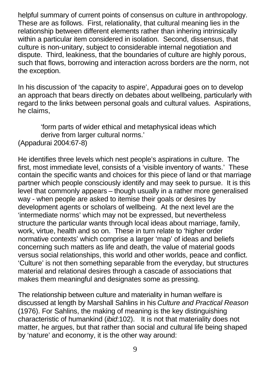helpful summary of current points of consensus on culture in anthropology. These are as follows. First, relationality, that cultural meaning lies in the relationship between different elements rather than inhering intrinsically within a particular item considered in isolation. Second, dissensus, that culture is non-unitary, subject to considerable internal negotiation and dispute. Third, leakiness, that the boundaries of culture are highly porous, such that flows, borrowing and interaction across borders are the norm, not the exception.

In his discussion of 'the capacity to aspire', Appadurai goes on to develop an approach that bears directly on debates about wellbeing, particularly with regard to the links between personal goals and cultural values. Aspirations, he claims,

'form parts of wider ethical and metaphysical ideas which derive from larger cultural norms.' (Appadurai 2004:67-8)

He identifies three levels which nest people's aspirations in culture. The first, most immediate level, consists of a 'visible inventory of wants.' These contain the specific wants and choices for this piece of land or that marriage partner which people consciously identify and may seek to pursue. It is this level that commonly appears – though usually in a rather more generalised way - when people are asked to itemise their goals or desires by development agents or scholars of wellbeing. At the next level are the 'intermediate norms' which may not be expressed, but nevertheless structure the particular wants through local ideas about marriage, family, work, virtue, health and so on. These in turn relate to 'higher order normative contexts' which comprise a larger 'map' of ideas and beliefs concerning such matters as life and death, the value of material goods versus social relationships, this world and other worlds, peace and conflict. 'Culture' is not then something separable from the everyday, but structures material and relational desires through a cascade of associations that makes them meaningful and designates some as pressing.

The relationship between culture and materiality in human welfare is discussed at length by Marshall Sahlins in his *Culture and Practical Reason* (1976). For Sahlins, the making of meaning is the key distinguishing characteristic of humankind (*ibid*:102). It is not that materiality does not matter, he argues, but that rather than social and cultural life being shaped by 'nature' and economy, it is the other way around: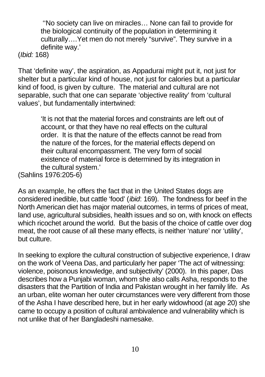''No society can live on miracles… None can fail to provide for the biological continuity of the population in determining it culturally….Yet men do not merely "survive". They survive in a definite way.'

(*Ibid:* 168)

That 'definite way', the aspiration, as Appadurai might put it, not just for shelter but a particular kind of house, not just for calories but a particular kind of food, is given by culture. The material and cultural are not separable, such that one can separate 'objective reality' from 'cultural values', but fundamentally intertwined:

> 'It is not that the material forces and constraints are left out of account, or that they have no real effects on the cultural order. It is that the nature of the effects cannot be read from the nature of the forces, for the material effects depend on their cultural encompassment. The very form of social existence of material force is determined by its integration in the cultural system.'

(Sahlins 1976:205-6)

As an example, he offers the fact that in the United States dogs are considered inedible, but cattle 'food' (*ibid*: 169). The fondness for beef in the North American diet has major material outcomes, in terms of prices of meat, land use, agricultural subsidies, health issues and so on, with knock on effects which ricochet around the world. But the basis of the choice of cattle over dog meat, the root cause of all these many effects, is neither 'nature' nor 'utility', but culture.

In seeking to explore the cultural construction of subjective experience, I draw on the work of Veena Das, and particularly her paper 'The act of witnessing: violence, poisonous knowledge, and subjectivity' (2000). In this paper, Das describes how a Punjabi woman, whom she also calls Asha, responds to the disasters that the Partition of India and Pakistan wrought in her family life. As an urban, elite woman her outer circumstances were very different from those of the Asha I have described here, but in her early widowhood (at age 20) she came to occupy a position of cultural ambivalence and vulnerability which is not unlike that of her Bangladeshi namesake.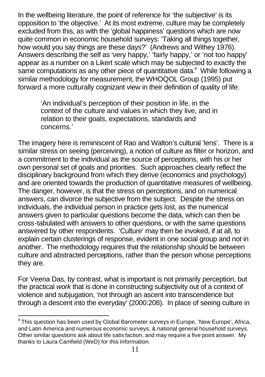In the wellbeing literature, the point of reference for 'the subjective' is its opposition to 'the objective.' At its most extreme, culture may be completely excluded from this, as with the 'global happiness' questions which are now quite common in economic household surveys: 'Taking all things together, how would you say things are these days?' (Andrews and Withey 1976). Answers describing the self as 'very happy,' 'fairly happy,' or 'not too happy' appear as a number on a Likert scale which may be subjected to exactly the same computations as any other piece of quantitative data. $4$  While following a similar methodology for measurement, the WHOQOL Group (1995) put forward a more culturally cognizant view in their definition of quality of life:

'An individual's perception of their position in life, in the context of the culture and values in which they live, and in relation to their goals, expectations, standards and concerns.'

The imagery here is reminiscent of Rao and Walton's cultural 'lens'. There is a similar stress on seeing (perceiving), a notion of culture as filter or horizon, and a commitment to the individual as the source of perceptions, with his or her own personal set of goals and priorities. Such approaches clearly reflect the disciplinary background from which they derive (economics and psychology) and are oriented towards the production of quantitative measures of wellbeing. The danger, however, is that the stress on perceptions, and on numerical answers, can divorce the subjective from the subject. Despite the stress on individuals, the individual person in practice gets lost, as the numerical answers given to particular questions become the data, which can then be cross-tabulated with answers to other questions, or with the same questions answered by other respondents. 'Culture' may then be invoked, if at all, to explain certain clusterings of response, evident in one social group and not in another. The methodology requires that the relationship should be between culture and abstracted perceptions, rather than the person whose perceptions they are.

For Veena Das, by contrast, what is important is not primarily perception, but the practical *work* that is done in constructing subjectivity out of a context of violence and subjugation, 'not through an ascent into transcendence but through a descent into the everyday' (2000:208). In place of seeing culture in

 $\overline{\phantom{a}}$  $4$  This question has been used by Global Barometer surveys in Europe, 'New Europe', Africa, and Latin America and numerous economic surveys, & national general household surveys. Other similar questions ask about life satis faction, and may require a five point answer. My thanks to Laura Camfield (WeD) for this information.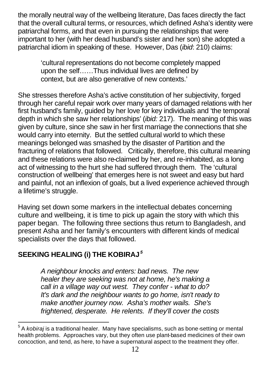the morally neutral way of the wellbeing literature, Das faces directly the fact that the overall cultural terms, or resources, which defined Asha's identity were patriarchal forms, and that even in pursuing the relationships that were important to her (with her dead husband's sister and her son) she adopted a patriarchal idiom in speaking of these. However, Das (*ibid*: 210) claims:

'cultural representations do not become completely mapped upon the self……Thus individual lives are defined by context, but are also generative of new contexts.'

She stresses therefore Asha's active constitution of her subjectivity, forged through her careful repair work over many years of damaged relations with her first husband's family, guided by her love for key individuals and 'the temporal depth in which she saw her relationships' (*ibid:* 217). The meaning of this was given by culture, since she saw in her first marriage the connections that she would carry into eternity. But the settled cultural world to which these meanings belonged was smashed by the disaster of Partition and the fracturing of relations that followed. Critically, therefore, this cultural meaning and these relations were also re-claimed by her, and re-inhabited, as a long act of witnessing to the hurt she had suffered through them. The 'cultural construction of wellbeing' that emerges here is not sweet and easy but hard and painful, not an inflexion of goals, but a lived experience achieved through a lifetime's struggle.

Having set down some markers in the intellectual debates concerning culture and wellbeing, it is time to pick up again the story with which this paper began. The following three sections thus return to Bangladesh, and present Asha and her family's encounters with different kinds of medical specialists over the days that followed.

# **SEEKING HEALING (i) THE KOBIRAJ***<sup>5</sup>*

*A neighbour knocks and enters: bad news. The new healer they are seeking was not at home, he's making a call in a village way out west. They confer - what to do? It's dark and the neighbour wants to go home, isn't ready to make another journey now. Asha's mother wails. She's frightened, desperate. He relents. If they'll cover the costs* 

 5 A *kobiraj* is a traditional healer. Many have specialisms, such as bone-setting or mental health problems. Approaches vary, but they often use plant-based medicines of their own concoction, and tend, as here, to have a supernatural aspect to the treatment they offer.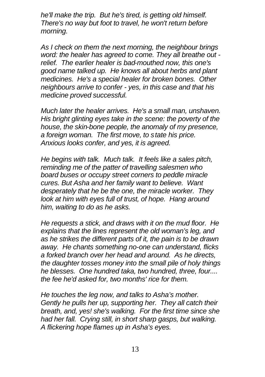*he'll make the trip. But he's tired, is getting old himself. There's no way but foot to travel, he won't return before morning.*

*As I check on them the next morning, the neighbour brings word: the healer has agreed to come. They all breathe out relief. The earlier healer is bad-mouthed now, this one's good name talked up. He knows all about herbs and plant medicines. He's a special healer for broken bones. Other neighbours arrive to confer - yes, in this case and that his medicine proved successful.*

*Much later the healer arrives. He's a small man, unshaven. His bright glinting eyes take in the scene: the poverty of the house, the skin-bone people, the anomaly of my presence, a foreign woman. The first move, to state his price. Anxious looks confer, and yes, it is agreed.*

*He begins with talk. Much talk. It feels like a sales pitch, reminding me of the patter of travelling salesmen who board buses or occupy street corners to peddle miracle cures. But Asha and her family want to believe. Want desperately that he be the one, the miracle worker. They look at him with eyes full of trust, of hope. Hang around him, waiting to do as he asks.*

*He requests a stick, and draws with it on the mud floor. He explains that the lines represent the old woman's leg, and as he strikes the different parts of it, the pain is to be drawn away. He chants something no-one can understand, flicks a forked branch over her head and around. As he directs, the daughter tosses money into the small pile of holy things he blesses. One hundred taka, two hundred, three, four.... the fee he'd asked for, two months' rice for them.* 

*He touches the leg now, and talks to Asha's mother. Gently he pulls her up, supporting her. They all catch their breath, and, yes! she's walking. For the first time since she had her fall. Crying still, in short sharp gasps, but walking. A flickering hope flames up in Asha's eyes.*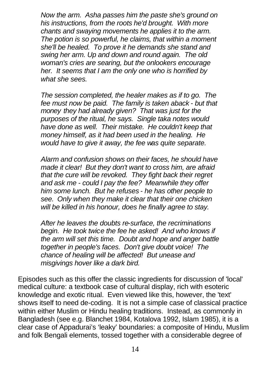*Now the arm. Asha passes him the paste she's ground on his instructions, from the roots he'd brought. With more chants and swaying movements he applies it to the arm. The potion is so powerful, he claims, that within a moment she'll be healed. To prove it he demands she stand and swing her arm. Up and down and round again. The old woman's cries are searing, but the onlookers encourage her. It seems that I am the only one who is horrified by what she sees.*

*The session completed, the healer makes as if to go. The fee must now be paid. The family is taken aback - but that money they had already given? That was just for the purposes of the ritual, he says. Single taka notes would have done as well. Their mistake. He couldn't keep that money himself, as it had been used in the healing. He would have to give it away, the fee was quite separate.* 

*Alarm and confusion shows on their faces, he should have made it clear! But they don't want to cross him, are afraid that the cure will be revoked. They fight back their regret and ask me - could I pay the fee? Meanwhile they offer him some lunch. But he refuses - he has other people to see. Only when they make it clear that their one chicken will be killed in his honour, does he finally agree to stay.*

*After he leaves the doubts re-surface, the recriminations begin. He took twice the fee he asked! And who knows if the arm will set this time. Doubt and hope and anger battle together in people's faces. Don't give doubt voice! The chance of healing will be affected! But unease and misgivings hover like a dark bird.*

Episodes such as this offer the classic ingredients for discussion of 'local' medical culture: a textbook case of cultural display, rich with esoteric knowledge and exotic ritual. Even viewed like this, however, the 'text' shows itself to need de-coding. It is not a simple case of classical practice within either Muslim or Hindu healing traditions. Instead, as commonly in Bangladesh (see e.g. Blanchet 1984, Kotalova 1992, Islam 1985), it is a clear case of Appadurai's 'leaky' boundaries: a composite of Hindu, Muslim and folk Bengali elements, tossed together with a considerable degree of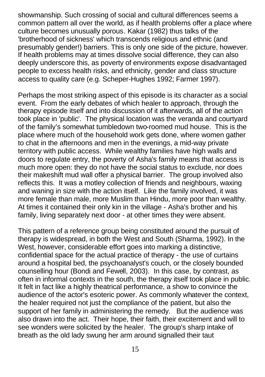showmanship. Such crossing of social and cultural differences seems a common pattern all over the world, as if health problems offer a place where culture becomes unusually porous. Kakar (1982) thus talks of the 'brotherhood of sickness' which transcends religious and ethnic (and presumably gender!) barriers. This is only one side of the picture, however. If health problems may at times dissolve social difference, they can also deeply underscore this, as poverty of environments expose disadvantaged people to excess health risks, and ethnicity, gender and class structure access to quality care (e.g. Scheper-Hughes 1992; Farmer 1997).

Perhaps the most striking aspect of this episode is its character as a social event. From the early debates of which healer to approach, through the therapy episode itself and into discussion of it afterwards, all of the action took place in 'public'. The physical location was the veranda and courtyard of the family's somewhat tumbledown two-roomed mud house. This is the place where much of the household work gets done, where women gather to chat in the afternoons and men in the evenings, a mid-way private territory with public access. While wealthy families have high walls and doors to regulate entry, the poverty of Asha's family means that access is much more open: they do not have the social status to exclude, nor does their makeshift mud wall offer a physical barrier. The group involved also reflects this. It was a motley collection of friends and neighbours, waxing and waning in size with the action itself. Like the family involved, it was more female than male, more Muslim than Hindu, more poor than wealthy. At times it contained their only kin in the village - Asha's brother and his family, living separately next door - at other times they were absent.

This pattern of a reference group being constituted around the pursuit of therapy is widespread, in both the West and South (Sharma, 1992). In the West, however, considerable effort goes into marking a distinctive, confidential space for the actual practice of therapy - the use of curtains around a hospital bed, the psychoanalyst's couch, or the closely bounded counselling hour (Bondi and Fewell, 2003). In this case, by contrast, as often in informal contexts in the south, the therapy itself took place in public. It felt in fact like a highly theatrical performance, a show to convince the audience of the actor's esoteric power. As commonly whatever the context, the healer required not just the compliance of the patient, but also the support of her family in administering the remedy. But the audience was also drawn into the act. Their hope, their faith, their excitement and will to see wonders were solicited by the healer. The group's sharp intake of breath as the old lady swung her arm around signalled their taut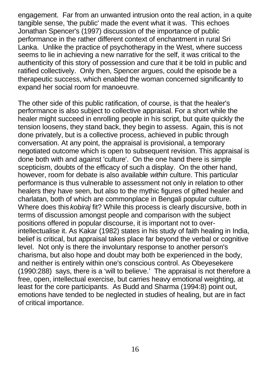engagement. Far from an unwanted intrusion onto the real action, in a quite tangible sense, 'the public' made the event what it was. This echoes Jonathan Spencer's (1997) discussion of the importance of public performance in the rather different context of enchantment in rural Sri Lanka. Unlike the practice of psychotherapy in the West, where success seems to lie in achieving a new narrative for the self, it was critical to the authenticity of this story of possession and cure that it be told in public and ratified collectively. Only then, Spencer argues, could the episode be a therapeutic success, which enabled the woman concerned significantly to expand her social room for manoeuvre.

The other side of this public ratification, of course, is that the healer's performance is also subject to collective appraisal. For a short while the healer might succeed in enrolling people in his script, but quite quickly the tension loosens, they stand back, they begin to assess. Again, this is not done privately, but is a collective process, achieved in public through conversation. At any point, the appraisal is provisional, a temporary negotiated outcome which is open to subsequent revision. This appraisal is done both with and against 'culture'. On the one hand there is simple scepticism, doubts of the efficacy of such a display. On the other hand, however, room for debate is also available *within* culture. This particular performance is thus vulnerable to assessment not only in relation to other healers they have seen, but also to the mythic figures of gifted healer and charlatan, both of which are commonplace in Bengali popular culture. Where does this *kobiraj* fit? While this process is clearly discursive, both in terms of discussion amongst people and comparison with the subject positions offered in popular discourse, it is important not to overintellectualise it. As Kakar (1982) states in his study of faith healing in India, belief is critical, but appraisal takes place far beyond the verbal or cognitive level. Not only is there the involuntary response to another person's charisma, but also hope and doubt may both be experienced in the body, and neither is entirely within one's conscious control. As Obeyesekere (1990:288) says, there is a 'will to believe.' The appraisal is not therefore a free, open, intellectual exercise, but carries heavy emotional weighting, at least for the core participants. As Budd and Sharma (1994:8) point out, emotions have tended to be neglected in studies of healing, but are in fact of critical importance.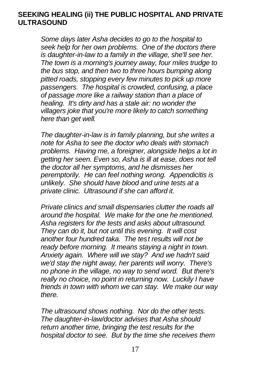#### **SEEKING HEALING (ii) THE PUBLIC HOSPITAL AND PRIVATE ULTRASOUND**

*Some days later Asha decides to go to the hospital to seek help for her own problems. One of the doctors there is daughter-in-law to a family in the village, she'll see her. The town is a morning's journey away, four miles trudge to the bus stop, and then two to three hours bumping along pitted roads, stopping every few minutes to pick up more passengers. The hospital is crowded, confusing, a place of passage more like a railway station than a place of healing. It's dirty and has a stale air: no wonder the villagers joke that you're more likely to catch something here than get well.*

*The daughter-in-law is in family planning, but she writes a note for Asha to see the doctor who deals with stomach problems. Having me, a foreigner, alongside helps a lot in getting her seen. Even so, Asha is ill at ease, does not tell the doctor all her symptoms, and he dismisses her peremptorily. He can feel nothing wrong. Appendicitis is unlikely. She should have blood and urine tests at a private clinic. Ultrasound if she can afford it.*

*Private clinics and small dispensaries clutter the roads all around the hospital. We make for the one he mentioned. Asha registers for the tests and asks about ultrasound. They can do it, but not until this evening. It will cost another four hundred taka. The test results will not be ready before morning. It means staying a night in town. Anxiety again. Where will we stay? And we hadn't said we'd stay the night away, her parents will worry. There's no phone in the village, no way to send word. But there's really no choice, no point in returning now. Luckily I have friends in town with whom we can stay. We make our way there.*

*The ultrasound shows nothing. Nor do the other tests. The daughter-in-law/doctor advises that Asha should return another time, bringing the test results for the hospital doctor to see. But by the time she receives them*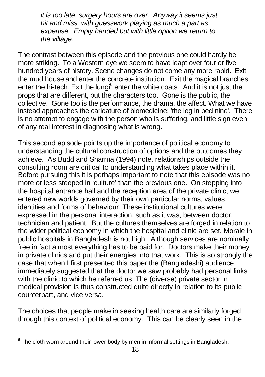*it is too late, surgery hours are over. Anyway it seems just hit and miss, with guesswork playing as much a part as expertise. Empty handed but with little option we return to the village.*

The contrast between this episode and the previous one could hardly be more striking. To a Western eye we seem to have leapt over four or five hundred years of history. Scene changes do not come any more rapid. Exit the mud house and enter the concrete institution. Exit the magical branches, enter the hi-tech. Exit the lungi<sup>6</sup> enter the white coats. And it is not just the props that are different, but the characters too. Gone is the public, the collective. Gone too is the performance, the drama, the affect. What we have instead approaches the caricature of biomedicine: 'the leg in bed nine'. There is no attempt to engage with the person who is suffering, and little sign even of any real interest in diagnosing what is wrong.

This second episode points up the importance of political economy to understanding the cultural construction of options and the outcomes they achieve. As Budd and Sharma (1994) note, relationships outside the consulting room are critical to understanding what takes place within it. Before pursuing this it is perhaps important to note that this episode was no more or less steeped in 'culture' than the previous one. On stepping into the hospital entrance hall and the reception area of the private clinic, we entered new worlds governed by their own particular norms, values, identities and forms of behaviour. These institutional cultures were expressed in the personal interaction, such as it was, between doctor, technician and patient. But the cultures themselves are forged in relation to the wider political economy in which the hospital and clinic are set. Morale in public hospitals in Bangladesh is not high. Although services are nominally free in fact almost everything has to be paid for. Doctors make their money in private clinics and put their energies into that work. This is so strongly the case that when I first presented this paper the (Bangladeshi) audience immediately suggested that the doctor we saw probably had personal links with the clinic to which he referred us. The (diverse) private sector in medical provision is thus constructed quite directly in relation to its public counterpart, and vice versa.

The choices that people make in seeking health care are similarly forged through this context of political economy. This can be clearly seen in the

 6 The cloth worn around their lower body by men in informal settings in Bangladesh.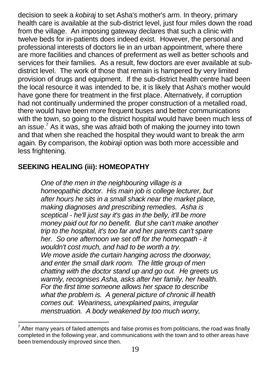decision to seek a *kobiraj* to set Asha's mother's arm. In theory, primary health care is available at the sub-district level, just four miles down the road from the village. An imposing gateway declares that such a clinic with twelve beds for in-patients does indeed exist. However, the personal and professional interests of doctors lie in an urban appointment, where there are more facilities and chances of preferment as well as better schools and services for their families. As a result, few doctors are ever available at subdistrict level. The work of those that remain is hampered by very limited provision of drugs and equipment. If the sub-district health centre had been the local resource it was intended to be, it is likely that Asha's mother would have gone there for treatment in the first place. Alternatively, if corruption had not continually undermined the proper construction of a metalled road. there would have been more frequent buses and better communications with the town, so going to the district hospital would have been much less of an issue.<sup>7</sup> As it was, she was afraid both of making the journey into town and that when she reached the hospital they would want to break the arm again. By comparison, the *kobiraji* option was both more accessible and less frightening.

### **SEEKING HEALING (iii): HOMEOPATHY**

*One of the men in the neighbouring village is a homeopathic doctor. His main job is college lecturer, but after hours he sits in a small shack near the market place, making diagnoses and prescribing remedies. Asha is sceptical - he'll just say it's gas in the belly, it'll be more money paid out for no benefit. But she can't make another trip to the hospital, it's too far and her parents can't spare her. So one afternoon we set off for the homeopath - it wouldn't cost much, and had to be worth a try. We move aside the curtain hanging across the doorway, and enter the small dark room. The little group of men chatting with the doctor stand up and go out. He greets us warmly, recognises Asha, asks after her family, her health. For the first time someone allows her space to describe what the problem is. A general picture of chronic ill health comes out. Weariness, unexplained pains, irregular menstruation. A body weakened by too much worry,* 

 $\overline{a}^7$  After many years of failed attempts and false promis es from politicians, the road was finally completed in the following year, and communications with the town and to other areas have been tremendously improved since then.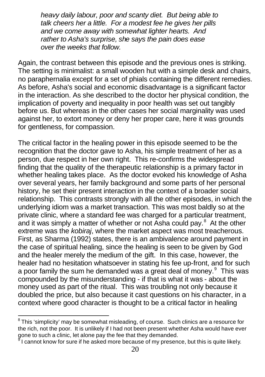*heavy daily labour, poor and scanty diet. But being able to talk cheers her a little. For a modest fee he gives her pills and we come away with somewhat lighter hearts. And rather to Asha's surprise, she says the pain does ease over the weeks that follow.* 

Again, the contrast between this episode and the previous ones is striking. The setting is minimalist: a small wooden hut with a simple desk and chairs, no paraphernalia except for a set of phials containing the different remedies. As before, Asha's social and economic disadvantage is a significant factor in the interaction. As she described to the doctor her physical condition, the implication of poverty and inequality in poor health was set out tangibly before us. But whereas in the other cases her social marginality was used against her, to extort money or deny her proper care, here it was grounds for gentleness, for compassion.

The critical factor in the healing power in this episode seemed to be the recognition that the doctor gave to Asha, his simple treatment of her as a person, due respect in her own right. This re-confirms the widespread finding that the quality of the therapeutic relationship is a primary factor in whether healing takes place. As the doctor evoked his knowledge of Asha over several years, her family background and some parts of her personal history, he set their present interaction in the context of a broader social relationship. This contrasts strongly with all the other episodes, in which the underlying idiom was a market transaction. This was most baldly so at the private clinic, where a standard fee was charged for a particular treatment, and it was simply a matter of whether or not Asha could pay. $8$  At the other extreme was the *kobiraj*, where the market aspect was most treacherous. First, as Sharma (1992) states, there is an ambivalence around payment in the case of spiritual healing, since the healing is seen to be given by God and the healer merely the medium of the gift. In this case, however, the healer had no hesitation whatsoever in stating his fee up-front, and for such a poor family the sum he demanded was a great deal of money. $9$  This was compounded by the misunderstanding - if that is what it was - about the money used as part of the ritual. This was troubling not only because it doubled the price, but also because it cast questions on his character, in a context where good character is thought to be a critical factor in healing

 $^8$ This 'simplicity' may be somewhat misleading, of course. Such clinics are a resource for the rich, not the poor. It is unlikely if I had not been present whether Asha would have ever gone to such a clinic, let alone pay the fee that they demanded.<br>9 Leannat know for ours if he saked mare because of my proces

I cannot know for sure if he asked more because of my presence, but this is quite likely.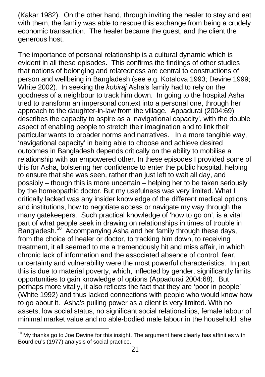(Kakar 1982). On the other hand, through inviting the healer to stay and eat with them, the family was able to rescue this exchange from being a crudely economic transaction. The healer became the guest, and the client the generous host.

The importance of personal relationship is a cultural dynamic which is evident in all these episodes. This confirms the findings of other studies that notions of belonging and relatedness are central to constructions of person and wellbeing in Bangladesh (see e.g. Kotalova 1993; Devine 1999; White 2002). In seeking the *kobiraj* Asha's family had to rely on the goodness of a neighbour to track him down. In going to the hospital Asha tried to transform an impersonal context into a personal one, through her approach to the daughter-in-law from the village. Appadurai (2004:69) describes the capacity to aspire as a 'navigational capacity', with the double aspect of enabling people to stretch their imagination and to link their particular wants to broader norms and narratives. In a more tangible way, 'navigational capacity' in being able to choose and achieve desired outcomes in Bangladesh depends critically on the ability to mobilise a relationship with an empowered other. In these episodes I provided some of this for Asha, bolstering her confidence to enter the public hospital, helping to ensure that she was seen, rather than just left to wait all day, and possibly – though this is more uncertain – helping her to be taken seriously by the homeopathic doctor. But my usefulness was very limited. What I critically lacked was any insider knowledge of the different medical options and institutions, how to negotiate access or navigate my way through the many gatekeepers. Such practical knowledge of 'how to go on', is a vital part of what people seek in drawing on relationships in times of trouble in Bangladesh.<sup>10</sup> Accompanying Asha and her family through these days, from the choice of healer or doctor, to tracking him down, to receiving treatment, it all seemed to me a tremendously hit and miss affair, in which chronic lack of information and the associated absence of control, fear, uncertainty and vulnerability were the most powerful characteristics. In part this is due to material poverty, which, inflected by gender, significantly limits opportunities to gain knowledge of options (Appadurai 2004:68). But perhaps more vitally, it also reflects the fact that they are 'poor in people' (White 1992) and thus lacked connections with people who would know how to go about it. Asha's pulling power as a client is very limited. With no assets, low social status, no significant social relationships, female labour of minimal market value and no able-bodied male labour in the household, she

l

 $10$  My thanks go to Joe Devine for this insight. The argument here clearly has affinities with Bourdieu's (1977) analysis of social practice.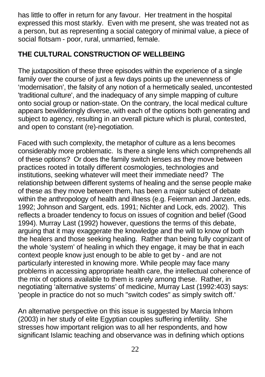has little to offer in return for any favour. Her treatment in the hospital expressed this most starkly. Even with me present, she was treated not as a person, but as representing a social category of minimal value, a piece of social flotsam - poor, rural, unmarried, female.

# **THE CULTURAL CONSTRUCTION OF WELLBEING**

The juxtaposition of these three episodes within the experience of a single family over the course of just a few days points up the unevenness of 'modernisation', the falsity of any notion of a hermetically sealed, uncontested 'traditional culture', and the inadequacy of any simple mapping of culture onto social group or nation-state. On the contrary, the local medical culture appears bewilderingly diverse, with each of the options both generating and subject to agency, resulting in an overall picture which is plural, contested, and open to constant (re)-negotiation.

Faced with such complexity, the metaphor of culture as a lens becomes considerably more problematic. Is there a single lens which comprehends all of these options? Or does the family switch lenses as they move between practices rooted in totally different cosmologies, technologies and institutions, seeking whatever will meet their immediate need? The relationship between different systems of healing and the sense people make of these as they move between them, has been a major subject of debate within the anthropology of health and illness (e.g. Feierman and Janzen, eds. 1992; Johnson and Sargent, eds. 1991; Nichter and Lock, eds. 2002). This reflects a broader tendency to focus on issues of cognition and belief (Good 1994). Murray Last (1992) however, questions the terms of this debate, arguing that it may exaggerate the knowledge and the will to know of both the healers and those seeking healing. Rather than being fully cognizant of the whole 'system' of healing in which they engage, it may be that in each context people know just enough to be able to get by - and are not particularly interested in knowing more. While people may face many problems in accessing appropriate health care, the intellectual coherence of the mix of options available to them is rarely among these. Rather, in negotiating 'alternative systems' of medicine, Murray Last (1992:403) says: 'people in practice do not so much "switch codes" as simply switch off.'

An alternative perspective on this issue is suggested by Marcia Inhorn (2003) in her study of elite Egyptian couples suffering infertility. She stresses how important religion was to all her respondents, and how significant Islamic teaching and observance was in defining which options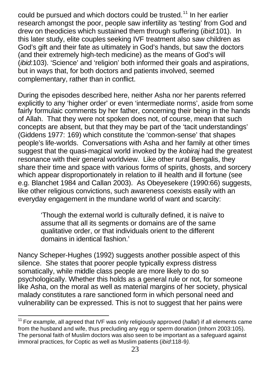could be pursued and which doctors could be trusted.<sup>11</sup> In her earlier research amongst the poor, people saw infertility as 'testing' from God and drew on theodicies which sustained them through suffering (*ibid*:101). In this later study, elite couples seeking IVF treatment also saw children as God's gift and their fate as ultimately in God's hands, but saw the doctors (and their extremely high-tech medicine) as the means of God's will (*ibid*:103). 'Science' and 'religion' both informed their goals and aspirations, but in ways that, for both doctors and patients involved, seemed complementary, rather than in conflict.

During the episodes described here, neither Asha nor her parents referred explicitly to any 'higher order' or even 'intermediate norms', aside from some fairly formulaic comments by her father, concerning their being in the hands of Allah. That they were not spoken does not, of course, mean that such concepts are absent, but that they may be part of the 'tacit understandings' (Giddens 1977: 169) which constitute the 'common-sense' that shapes people's life-worlds. Conversations with Asha and her family at other times suggest that the quasi-magical world invoked by the *kobiraj* had the greatest resonance with their general worldview. Like other rural Bengalis, they share their time and space with various forms of spirits, ghosts, and sorcery which appear disproportionately in relation to ill health and ill fortune (see e.g. Blanchet 1984 and Callan 2003). As Obeyesekere (1990:66) suggests, like other religious convictions, such awareness coexists easily with an everyday engagement in the mundane world of want and scarcity:

'Though the external world is culturally defined, it is naïve to assume that all its segments or domains are of the same qualitative order, or that individuals orient to the different domains in identical fashion.'

Nancy Scheper-Hughes (1992) suggests another possible aspect of this silence. She states that poorer people typically express distress somatically, while middle class people are more likely to do so psychologically. Whether this holds as a general rule or not, for someone like Asha, on the moral as well as material margins of her society, physical malady constitutes a rare sanctioned form in which personal need and vulnerability can be expressed. This is not to suggest that her pains were

 $\overline{a}$ <sup>11</sup> For example, all agreed that IVF was only religiously approved (*hallal*) if all elements came from the husband and wife, thus precluding any egg or sperm donation (Inhorn 2003:105). The personal faith of Muslim doctors was also seen to be important as a safeguard against immoral practices, for Coptic as well as Muslim patients (*ibid*:118-9*).*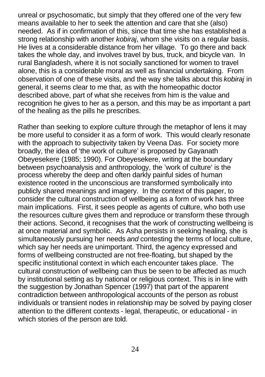unreal or psychosomatic, but simply that they offered one of the very few means available to her to seek the attention and care that she (also) needed. As if in confirmation of this, since that time she has established a strong relationship with another *kobiraj*, whom she visits on a regular basis. He lives at a considerable distance from her village. To go there and back takes the whole day, and involves travel by bus, truck, and bicycle van. In rural Bangladesh, where it is not socially sanctioned for women to travel alone, this is a considerable moral as well as financial undertaking. From observation of one of these visits, and the way she talks about this *kobiraj* in general, it seems clear to me that, as with the homeopathic doctor described above, part of what she receives from him is the value and recognition he gives to her as a person, and this may be as important a part of the healing as the pills he prescribes.

Rather than seeking to explore culture through the metaphor of lens it may be more useful to consider it as a form of work. This would clearly resonate with the approach to subjectivity taken by Veena Das. For society more broadly, the idea of 'the work of culture' is proposed by Gayanath Obeyesekere (1985; 1990). For Obeyesekere, writing at the boundary between psychoanalysis and anthropology, the 'work of culture' is the process whereby the deep and often darkly painful sides of human existence rooted in the unconscious are transformed symbolically into publicly shared meanings and imagery. In the context of this paper, to consider the cultural construction of wellbeing as a form of work has three main implications. First, it sees people as agents of culture, who both use the resources culture gives them and reproduce or transform these through their actions. Second, it recognises that the work of constructing wellbeing is at once material and symbolic. As Asha persists in seeking healing, she is simultaneously pursuing her needs *and* contesting the terms of local culture, which say her needs are unimportant. Third, the agency expressed and forms of wellbeing constructed are not free-floating, but shaped by the specific institutional context in which each encounter takes place. The cultural construction of wellbeing can thus be seen to be affected as much by institutional setting as by national or religious context. This is in line with the suggestion by Jonathan Spencer (1997) that part of the apparent contradiction between anthropological accounts of the person as robust individuals or transient nodes in relationship may be solved by paying closer attention to the different contexts - legal, therapeutic, or educational - in which stories of the person are told.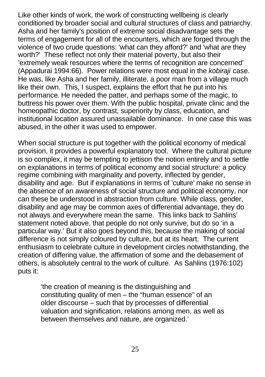Like other kinds of work, the work of constructing wellbeing is clearly conditioned by broader social and cultural structures of class and patriarchy. Asha and her family's position of extreme social disadvantage sets the terms of engagement for all of the encounters, which are forged through the violence of two crude questions: 'what can they afford?' and 'what are they worth?' These reflect not only their material poverty, but also their 'extremely weak resources where the terms of recognition are concerned' (Appadurai 1994:66). Power relations were most equal in the *kobiraji* case. He was, like Asha and her family, illiterate, a poor man from a village much like their own. This, I suspect, explains the effort that he put into his performance. He needed the patter, and perhaps some of the magic, to buttress his power over them. With the public hospital, private clinic and the homeopathic doctor, by contrast, superiority by class, education, and institutional location assured unassailable dominance. In one case this was abused, in the other it was used to empower.

When social structure is put together with the political economy of medical provision, it provides a powerful explanatory tool. Where the cultural picture is so complex, it may be tempting to jettison the notion entirely and to settle on explanations in terms of political economy and social structure: a policy regime combining with marginality and poverty, inflected by gender, disability and age. But if explanations in terms of 'culture' make no sense in the absence of an awareness of social structure and political economy, nor can these be understood in abstraction from culture. While class, gender, disability and age may be common axes of differential advantage, they do not always and everywhere mean the same. This links back to Sahlins' statement noted above, that people do not only survive, but do so 'in a particular way.' But it also goes beyond this, because the making of social difference is not simply coloured by culture, but at its heart. The current enthusiasm to celebrate culture in development circles notwithstanding, the creation of differing value, the affirmation of some and the debasement of others, is absolutely central to the work of culture. As Sahlins (1976:102) puts it:

'the creation of meaning is the distinguishing and constituting quality of men – the "human essence" of an older discourse – such that by processes of differential valuation and signification, relations among men, as well as between themselves and nature, are organized.'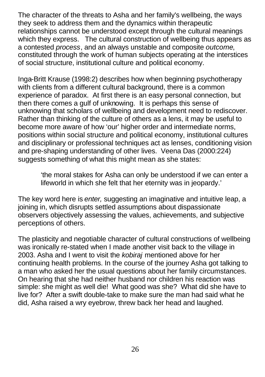The character of the threats to Asha and her family's wellbeing, the ways they seek to address them and the dynamics within therapeutic relationships cannot be understood except through the cultural meanings which they express. The cultural construction of wellbeing thus appears as a contested *process*, and an always unstable and composite *outcome*, constituted through the work of human subjects operating at the interstices of social structure, institutional culture and political economy.

Inga-Britt Krause (1998:2) describes how when beginning psychotherapy with clients from a different cultural background, there is a common experience of paradox. At first there is an easy personal connection, but then there comes a gulf of unknowing. It is perhaps this sense of unknowing that scholars of wellbeing and development need to rediscover. Rather than thinking of the culture of others as a lens, it may be useful to become more aware of how 'our' higher order and intermediate norms, positions within social structure and political economy, institutional cultures and disciplinary or professional techniques act as lenses, conditioning vision and pre-shaping understanding of other lives. Veena Das (2000:224) suggests something of what this might mean as she states:

'the moral stakes for Asha can only be understood if we can enter a lifeworld in which she felt that her eternity was in jeopardy.'

The key word here is *enter,* suggesting an imaginative and intuitive leap, a joining in, which disrupts settled assumptions about dispassionate observers objectively assessing the values, achievements, and subjective perceptions of others.

The plasticity and negotiable character of cultural constructions of wellbeing was ironically re-stated when I made another visit back to the village in 2003. Asha and I went to visit the *kobiraj* mentioned above for her continuing health problems. In the course of the journey Asha got talking to a man who asked her the usual questions about her family circumstances. On hearing that she had neither husband nor children his reaction was simple: she might as well die! What good was she? What did she have to live for? After a swift double-take to make sure the man had said what he did, Asha raised a wry eyebrow, threw back her head and laughed.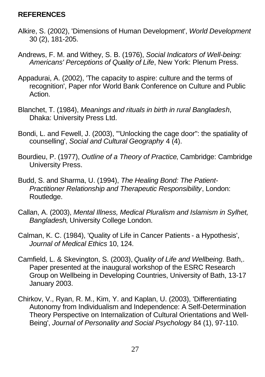### **REFERENCES**

- Alkire, S. (2002), 'Dimensions of Human Development', *World Development* 30 (2), 181-205.
- Andrews, F. M. and Withey, S. B. (1976), *Social Indicators of Well-being: Americans' Perceptions of Quality of Life*, New York: Plenum Press.
- Appadurai, A. (2002), 'The capacity to aspire: culture and the terms of recognition', Paper nfor World Bank Conference on Culture and Public Action.
- Blanchet, T. (1984), *Meanings and rituals in birth in rural Bangladesh*, Dhaka: University Press Ltd.
- Bondi, L. and Fewell, J. (2003), '"Unlocking the cage door": the spatiality of counselling', *Social and Cultural Geography* 4 (4).
- Bourdieu, P. (1977), *Outline of a Theory of Practice*, Cambridge: Cambridge University Press.
- Budd, S. and Sharma, U. (1994), *The Healing Bond: The Patient-Practitioner Relationship and Therapeutic Responsibility*, London: Routledge.
- Callan, A. (2003), *Mental Illness, Medical Pluralism and Islamism in Sylhet, Bangladesh*, University College London.
- Calman, K. C. (1984), 'Quality of Life in Cancer Patients a Hypothesis', *Journal of Medical Ethics* 10, 124.
- Camfield, L. & Skevington, S. (2003), *Quality of Life and Wellbeing*. Bath,. Paper presented at the inaugural workshop of the ESRC Research Group on Wellbeing in Developing Countries, University of Bath, 13-17 January 2003.
- Chirkov, V., Ryan, R. M., Kim, Y. and Kaplan, U. (2003), 'Differentiating Autonomy from Individualism and Independence: A Self-Determination Theory Perspective on Internalization of Cultural Orientations and Well-Being', *Journal of Personality and Social Psychology* 84 (1), 97-110.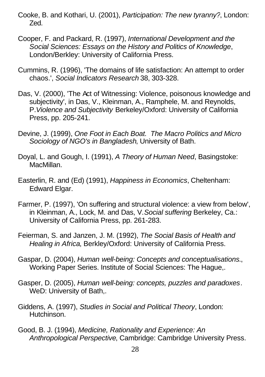- Cooke, B. and Kothari, U. (2001), *Participation: The new tyranny?*, London: Zed.
- Cooper, F. and Packard, R. (1997), *International Development and the Social Sciences: Essays on the History and Politics of Knowledge*, London/Berkley: University of California Press.
- Cummins, R. (1996), 'The domains of life satisfaction: An attempt to order chaos.', *Social Indicators Research* 38, 303-328.
- Das, V. (2000), 'The Act of Witnessing: Violence, poisonous knowledge and subjectivity', in Das, V., Kleinman, A., Ramphele, M. and Reynolds, P.*Violence and Subjectivity* Berkeley/Oxford: University of California Press, pp. 205-241.
- Devine, J. (1999), *One Foot in Each Boat. The Macro Politics and Micro Sociology of NGO's in Bangladesh*, University of Bath.
- Doyal, L. and Gough, I. (1991), *A Theory of Human Need*, Basingstoke: MacMillan.
- Easterlin, R. and (Ed) (1991), *Happiness in Economics*, Cheltenham: Edward Elgar.
- Farmer, P. (1997), 'On suffering and structural violence: a view from below', in Kleinman, A., Lock, M. and Das, V.*Social suffering* Berkeley, Ca.: University of California Press, pp. 261-283.
- Feierman, S. and Janzen, J. M. (1992), *The Social Basis of Health and Healing in Africa*, Berkley/Oxford: University of California Press.
- Gaspar, D. (2004), *Human well-being: Concepts and conceptualisations.*, Working Paper Series. Institute of Social Sciences: The Hague,.
- Gasper, D. (2005), *Human well-being: concepts, puzzles and paradoxes*. WeD: University of Bath,.
- Giddens, A. (1997), *Studies in Social and Political Theory*, London: Hutchinson.
- Good, B. J. (1994), *Medicine, Rationality and Experience: An Anthropological Perspective*, Cambridge: Cambridge University Press.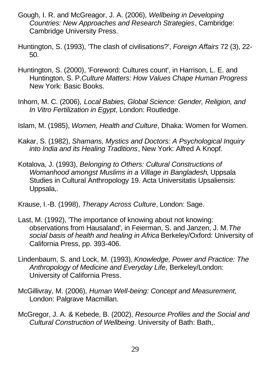- Gough, I. R. and McGreagor, J. A. (2006), *Wellbeing in Developing Countries: New Approaches and Research Strategies*, Cambridge: Cambridge University Press.
- Huntington, S. (1993), 'The clash of civilisations?', *Foreign Affairs* 72 (3), 22- 50.
- Huntington, S. (2000), 'Foreword: Cultures count', in Harrison, L. E. and Huntington, S. P.*Culture Matters: How Values Chape Human Progress* New York: Basic Books.
- Inhorn, M. C. (2006), *Local Babies, Global Science: Gender, Religion, and In Vitro Fertilization in Egypt*, London: Routledge.
- Islam, M. (1985), *Women, Health and Culture*, Dhaka: Women for Women.
- Kakar, S. (1982), *Shamans, Mystics and Doctors: A Psychological Inquiry into India and its Healing Traditions*, New York: Alfred A Knopf.
- Kotalova, J. (1993), *Belonging to Others: Cultural Constructions of Womanhood amongst Muslims in a Village in Bangladesh*, Uppsala Studies in Cultural Anthropology 19. Acta Universitatis Upsaliensis: Uppsala,.
- Krause, I.-B. (1998), *Therapy Across Culture*, London: Sage.
- Last, M. (1992), 'The importance of knowing about not knowing: observations from Hausaland', in Feierman, S. and Janzen, J. M.*The social basis of health and healing in Africa* Berkeley/Oxford: University of California Press, pp. 393-406.
- Lindenbaum, S. and Lock, M. (1993), *Knowledge, Power and Practice: The Anthropology of Medicine and Everyday Life*, Berkeley/London: University of California Press.
- McGillivray, M. (2006), *Human Well-being: Concept and Measurement*, London: Palgrave Macmillan.
- McGregor, J. A. & Kebede, B. (2002), *Resource Profiles and the Social and Cultural Construction of Wellbeing*. University of Bath: Bath,.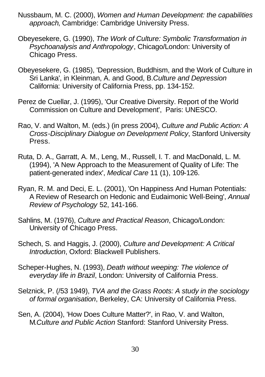- Nussbaum, M. C. (2000), *Women and Human Development: the capabilities approach*, Cambridge: Cambridge University Press.
- Obeyesekere, G. (1990), *The Work of Culture: Symbolic Transformation in Psychoanalysis and Anthropology*, Chicago/London: University of Chicago Press.
- Obeyesekere, G. (1985), 'Depression, Buddhism, and the Work of Culture in Sri Lanka', in Kleinman, A. and Good, B.*Culture and Depression* California: University of California Press, pp. 134-152.
- Perez de Cuellar, J. (1995), 'Our Creative Diversity. Report of the World Commission on Culture and Development', Paris: UNESCO.
- Rao, V. and Walton, M. (eds.) (in press 2004), *Culture and Public Action: A Cross-Disciplinary Dialogue on Development Policy*, Stanford University Press.
- Ruta, D. A., Garratt, A. M., Leng, M., Russell, I. T. and MacDonald, L. M. (1994), 'A New Approach to the Measurement of Quality of Life: The patient-generated index', *Medical Care* 11 (1), 109-126.
- Ryan, R. M. and Deci, E. L. (2001), 'On Happiness And Human Potentials: A Review of Research on Hedonic and Eudaimonic Well-Being', *Annual Review of Psychology* 52, 141-166.
- Sahlins, M. (1976), *Culture and Practical Reason*, Chicago/London: University of Chicago Press.
- Schech, S. and Haggis, J. (2000), *Culture and Development: A Critical Introduction*, Oxford: Blackwell Publishers.
- Scheper-Hughes, N. (1993), *Death without weeping: The violence of everyday life in Brazil*, London: University of California Press.
- Selznick, P. (/53 1949), *TVA and the Grass Roots: A study in the sociology of formal organisation*, Berkeley, CA: University of California Press.
- Sen, A. (2004), 'How Does Culture Matter?', in Rao, V. and Walton, M.*Culture and Public Action* Stanford: Stanford University Press.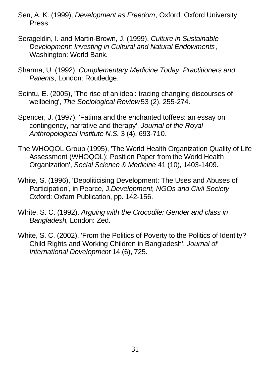- Sen, A. K. (1999), *Development as Freedom*, Oxford: Oxford University Press.
- Serageldin, I. and Martin-Brown, J. (1999), *Culture in Sustainable Development: Investing in Cultural and Natural Endowments*, Washington: World Bank.
- Sharma, U. (1992), *Complementary Medicine Today: Practitioners and Patients*, London: Routledge.
- Sointu, E. (2005), 'The rise of an ideal: tracing changing discourses of wellbeing', *The Sociological Review* 53 (2), 255-274.
- Spencer, J. (1997), 'Fatima and the enchanted toffees: an essay on contingency, narrative and therapy', *Journal of the Royal Anthropological Institute N.S.* 3 (4), 693-710.
- The WHOQOL Group (1995), 'The World Health Organization Quality of Life Assessment (WHOQOL): Position Paper from the World Health Organization', *Social Science & Medicine* 41 (10), 1403-1409.
- White, S. (1996), 'Depoliticising Development: The Uses and Abuses of Participation', in Pearce, J.*Development, NGOs and Civil Society* Oxford: Oxfam Publication, pp. 142-156.
- White, S. C. (1992), *Arguing with the Crocodile: Gender and class in Bangladesh*, London: Zed.
- White, S. C. (2002), 'From the Politics of Poverty to the Politics of Identity? Child Rights and Working Children in Bangladesh', *Journal of International Development* 14 (6), 725.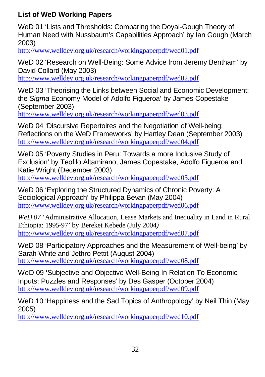# **List of WeD Working Papers**

WeD 01 'Lists and Thresholds: Comparing the Doyal-Gough Theory of Human Need with Nussbaum's Capabilities Approach' by Ian Gough (March 2003)

http://www.welldev.org.uk/research/workingpaperpdf/wed01.pdf

WeD 02 'Research on Well-Being: Some Advice from Jeremy Bentham' by David Collard (May 2003)

http://www.welldev.org.uk/research/workingpaperpdf/wed02.pdf

WeD 03 'Theorising the Links between Social and Economic Development: the *Sigma* Economy Model of Adolfo Figueroa' by James Copestake (September 2003)

http://www.welldev.org.uk/research/workingpaperpdf/wed03.pdf

WeD 04 'Discursive Repertoires and the Negotiation of Well-being: Reflections on the WeD Frameworks' by Hartley Dean (September 2003) http://www.welldev.org.uk/research/workingpaperpdf/wed04.pdf

WeD 05 'Poverty Studies in Peru: Towards a more Inclusive Study of Exclusion' by Teofilo Altamirano, James Copestake, Adolfo Figueroa and Katie Wright (December 2003)

http://www.welldev.org.uk/research/workingpaperpdf/wed05.pdf

WeD 06 'Exploring the Structured Dynamics of Chronic Poverty: A Sociological Approach' by Philippa Bevan (May 2004) http://www.welldev.org.uk/research/workingpaperpdf/wed06.pdf

*WeD 07* 'Administrative Allocation, Lease Markets and Inequality in Land in Rural Ethiopia: 1995-97' by Bereket Kebede (July 2004*)* http://www.welldev.org.uk/research/workingpaperpdf/wed07.pdf

WeD 08 'Participatory Approaches and the Measurement of Well-being' by Sarah White and Jethro Pettit (August 2004) http://www.welldev.org.uk/research/workingpaperpdf/wed08.pdf

WeD 09 **'**Subjective and Objective Well-Being In Relation To Economic Inputs: Puzzles and Responses' by Des Gasper (October 2004) http://www.welldev.org.uk/research/workingpaperpdf/wed09.pdf

WeD 10 'Happiness and the Sad Topics of Anthropology' by Neil Thin (May 2005)

http://www.welldev.org.uk/research/workingpaperpdf/wed10.pdf